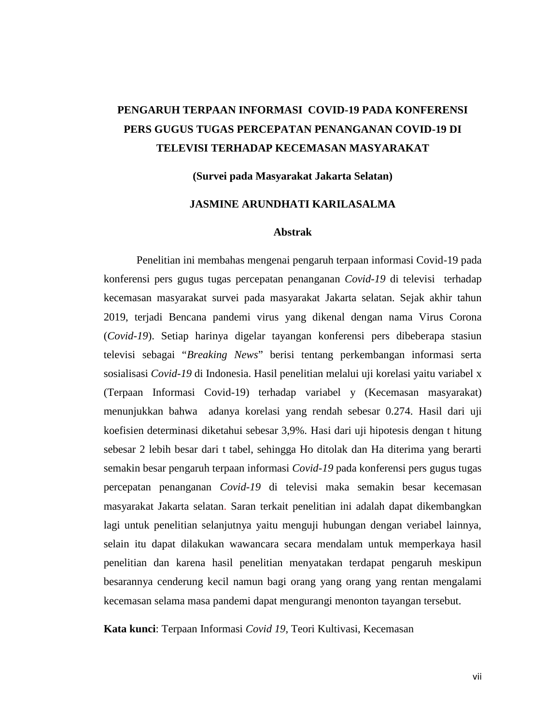# **PENGARUH TERPAAN INFORMASI COVID-19 PADA KONFERENSI PERS GUGUS TUGAS PERCEPATAN PENANGANAN COVID-19 DI TELEVISI TERHADAP KECEMASAN MASYARAKAT**

**(Survei pada Masyarakat Jakarta Selatan)**

## **JASMINE ARUNDHATI KARILASALMA**

### **Abstrak**

Penelitian ini membahas mengenai pengaruh terpaan informasi Covid-19 pada konferensi pers gugus tugas percepatan penanganan *Covid-19* di televisi terhadap kecemasan masyarakat survei pada masyarakat Jakarta selatan. Sejak akhir tahun 2019, terjadi Bencana pandemi virus yang dikenal dengan nama Virus Corona (*Covid-19*). Setiap harinya digelar tayangan konferensi pers dibeberapa stasiun televisi sebagai "*Breaking News*" berisi tentang perkembangan informasi serta sosialisasi *Covid-19* di Indonesia. Hasil penelitian melalui uji korelasi yaitu variabel x (Terpaan Informasi Covid-19) terhadap variabel y (Kecemasan masyarakat) menunjukkan bahwa adanya korelasi yang rendah sebesar 0.274. Hasil dari uji koefisien determinasi diketahui sebesar 3,9%. Hasi dari uji hipotesis dengan t hitung sebesar 2 lebih besar dari t tabel, sehingga Ho ditolak dan Ha diterima yang berarti semakin besar pengaruh terpaan informasi *Covid-19* pada konferensi pers gugus tugas percepatan penanganan *Covid-19* di televisi maka semakin besar kecemasan masyarakat Jakarta selatan. Saran terkait penelitian ini adalah dapat dikembangkan lagi untuk penelitian selanjutnya yaitu menguji hubungan dengan veriabel lainnya, selain itu dapat dilakukan wawancara secara mendalam untuk memperkaya hasil penelitian dan karena hasil penelitian menyatakan terdapat pengaruh meskipun besarannya cenderung kecil namun bagi orang yang orang yang rentan mengalami kecemasan selama masa pandemi dapat mengurangi menonton tayangan tersebut.

**Kata kunci**: Terpaan Informasi *Covid 19*, Teori Kultivasi, Kecemasan